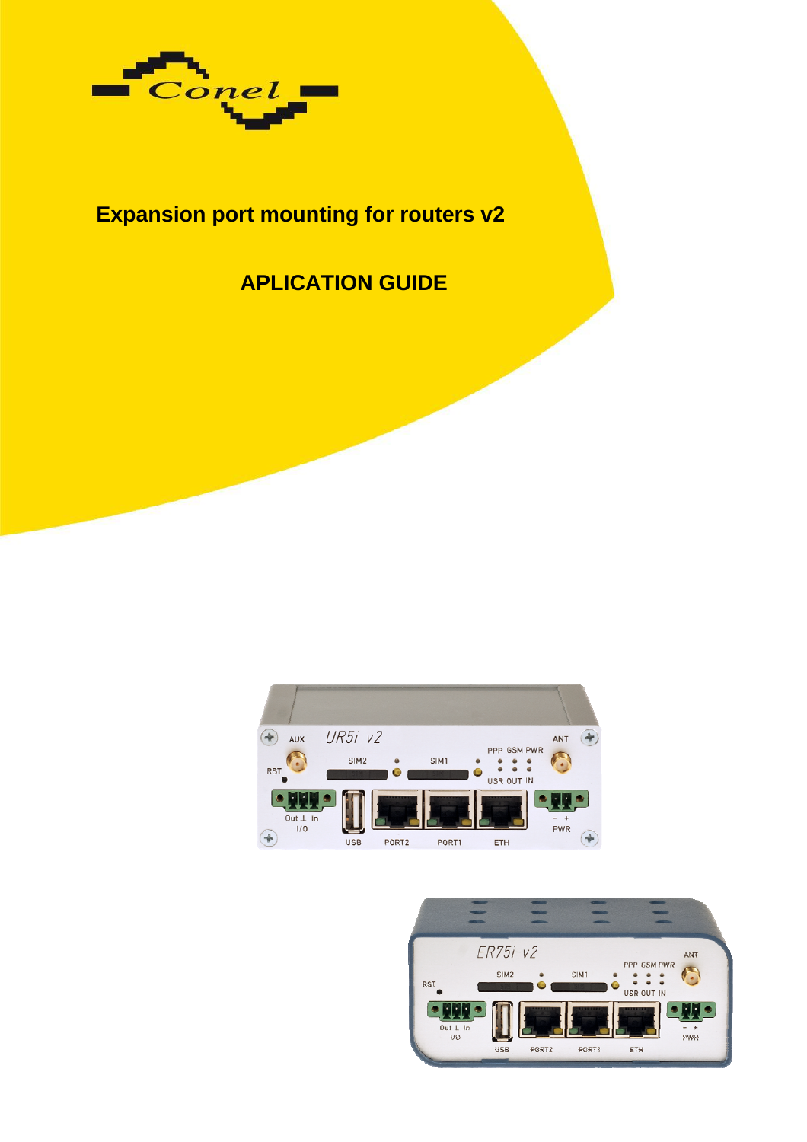

# **Expansion port mounting for routers v2**

# **APLICATION GUIDE**



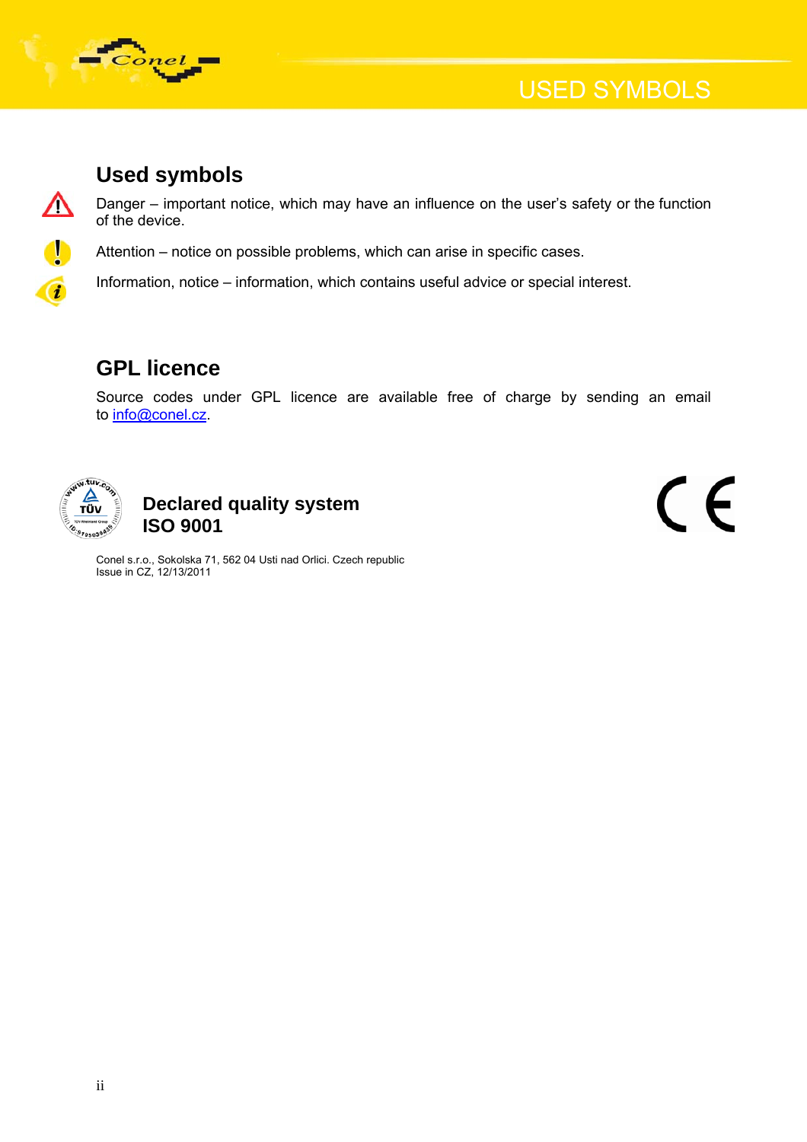

## **Used symbols**

Danger – important notice, which may have an influence on the user's safety or the function of the device.

Attention – notice on possible problems, which can arise in specific cases.

Information, notice – information, which contains useful advice or special interest.

## **GPL licence**

Source codes under GPL licence are available free of charge by sending an email to [info@conel.cz](mailto:info@conel.cz).



### **Declared quality system ISO 9001**

CE

Conel s.r.o., Sokolska 71, 562 04 Usti nad Orlici. Czech republic Issue in CZ, 12/13/2011

Δ

 $\bullet$ 

 $\overline{a}$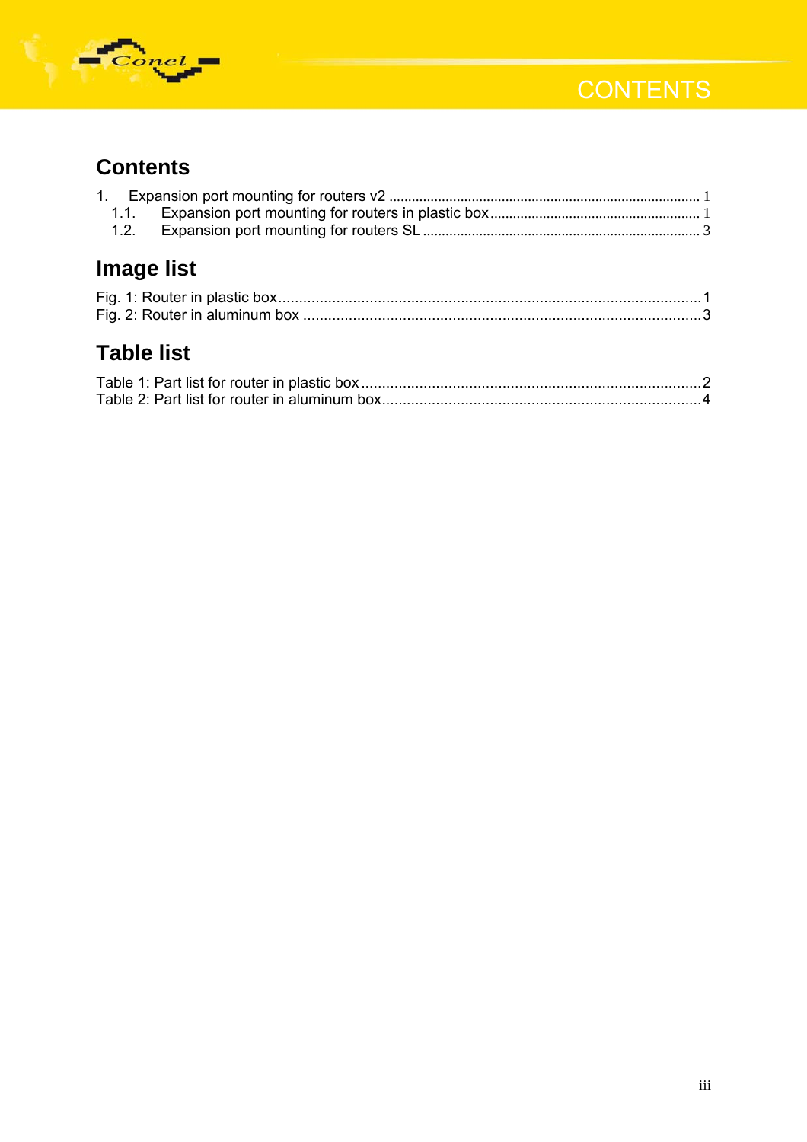



# **Contents**

| 1.1.              |  |  |
|-------------------|--|--|
| 1.2.              |  |  |
| Image list        |  |  |
|                   |  |  |
|                   |  |  |
| <b>Table list</b> |  |  |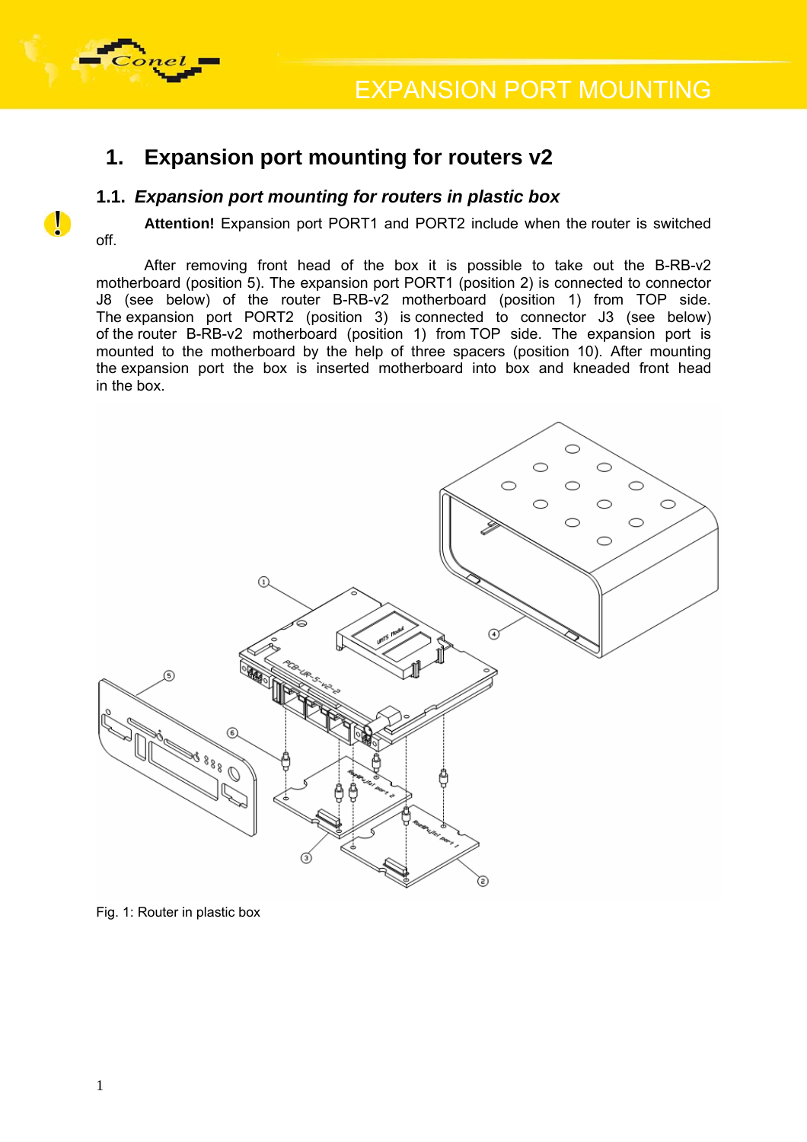

<span id="page-3-0"></span>

 $\bullet$ 

### **1. Expansion port mounting for routers v2**

#### **1.1.** *Expansion port mounting for routers in plastic box*

Attention! Expansion port PORT1 and PORT2 include when the router is switched off.

After removing front head of the box it is possible to take out the B-RB-v2 motherboard (position 5). The expansion port PORT1 (position 2) is connected to connector J8 (see below) of the router B-RB-v2 motherboard (position 1) from TOP side. The expansion port PORT2 (position 3) is connected to connector J3 (see below) of the router B-RB-v2 motherboard (position 1) from TOP side. The expansion port is mounted to the motherboard by the help of three spacers (position 10). After mounting the expansion port the box is inserted motherboard into box and kneaded front head in the box.



Fig. 1: Router in plastic box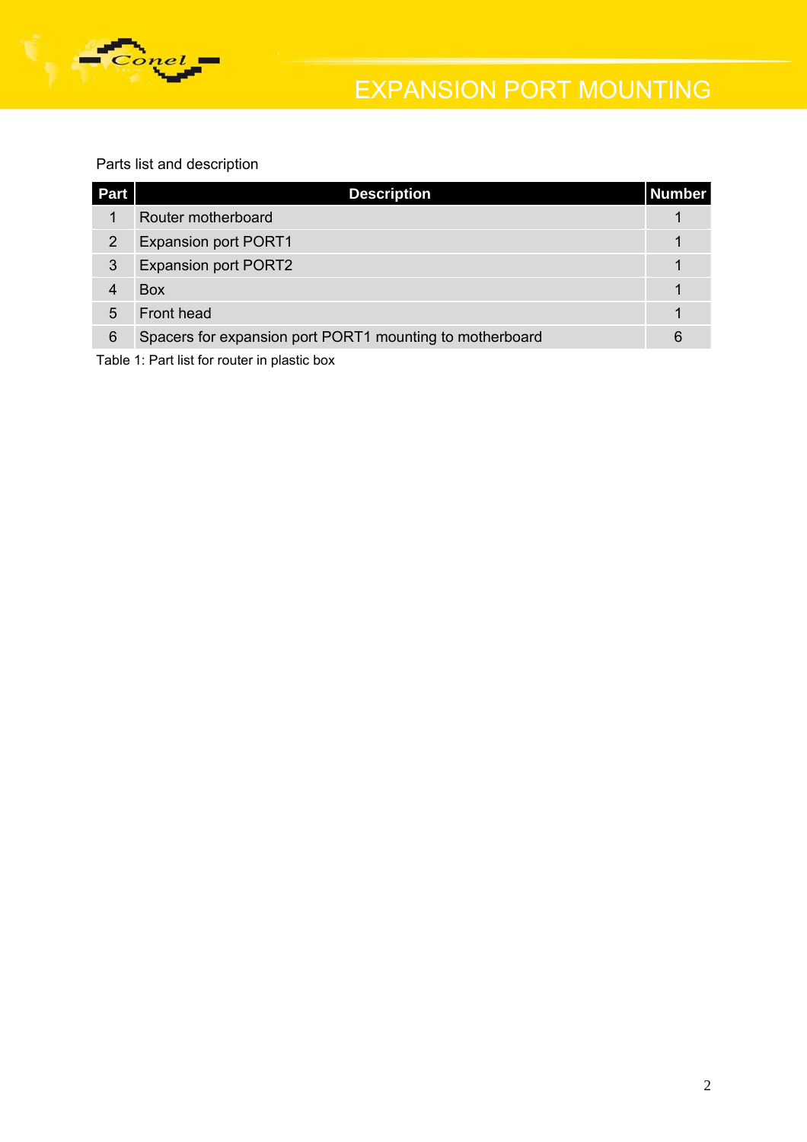<span id="page-4-0"></span>

# EXPANSION PORT MOUNTING

Parts list and description

| Part | <b>Description</b>                                       | Number |
|------|----------------------------------------------------------|--------|
| 1    | Router motherboard                                       |        |
| 2    | <b>Expansion port PORT1</b>                              |        |
| 3    | <b>Expansion port PORT2</b>                              |        |
| 4    | <b>Box</b>                                               |        |
| 5    | Front head                                               |        |
| 6    | Spacers for expansion port PORT1 mounting to motherboard | 6      |

Table 1: Part list for router in plastic box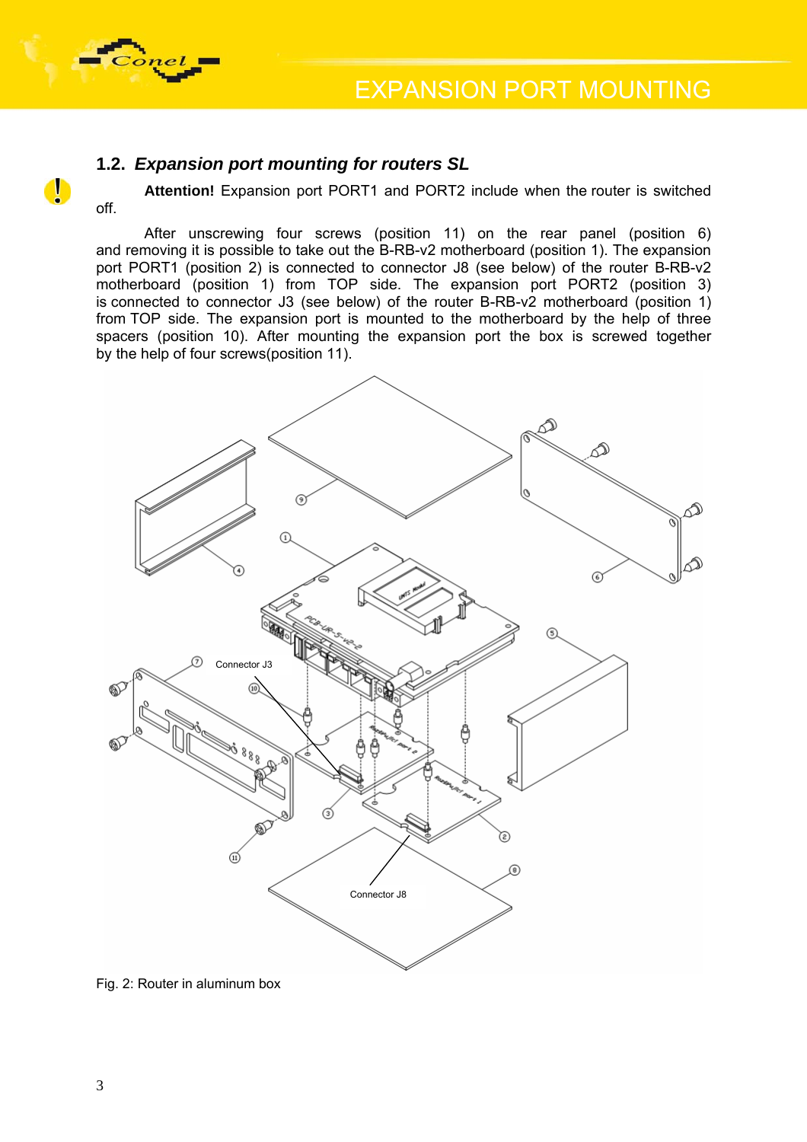<span id="page-5-0"></span>

#### **1.2.** *Expansion port mounting for routers SL*

off.

 $\bullet$ 

Attention! Expansion port PORT1 and PORT2 include when the router is switched

After unscrewing four screws (position 11) on the rear panel (position 6) and removing it is possible to take out the B-RB-v2 motherboard (position 1). The expansion port PORT1 (position 2) is connected to connector J8 (see below) of the router B-RB-v2 motherboard (position 1) from TOP side. The expansion port PORT2 (position 3) is connected to connector J3 (see below) of the router B-RB-v2 motherboard (position 1) from TOP side. The expansion port is mounted to the motherboard by the help of three spacers (position 10). After mounting the expansion port the box is screwed together by the help of four screws(position 11).



Fig. 2: Router in aluminum box